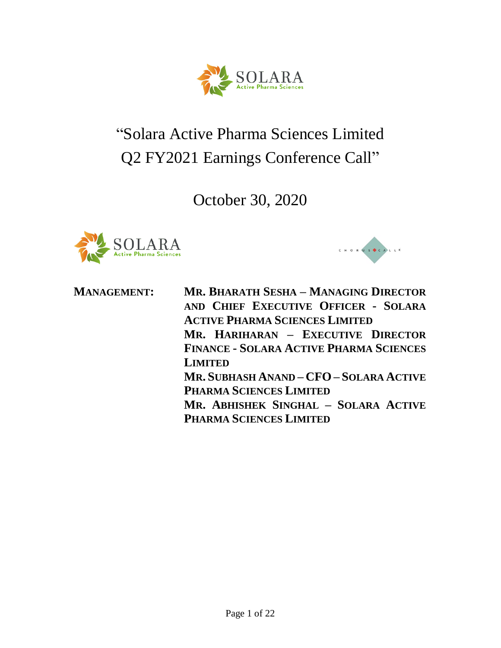

# "Solara Active Pharma Sciences Limited Q2 FY2021 Earnings Conference Call"

October 30, 2020





**MANAGEMENT: MR. BHARATH SESHA – MANAGING DIRECTOR AND CHIEF EXECUTIVE OFFICER - SOLARA ACTIVE PHARMA SCIENCES LIMITED MR. HARIHARAN – EXECUTIVE DIRECTOR FINANCE - SOLARA ACTIVE PHARMA SCIENCES LIMITED MR. SUBHASH ANAND – CFO – SOLARA ACTIVE PHARMA SCIENCES LIMITED MR. ABHISHEK SINGHAL – SOLARA ACTIVE PHARMA SCIENCES LIMITED**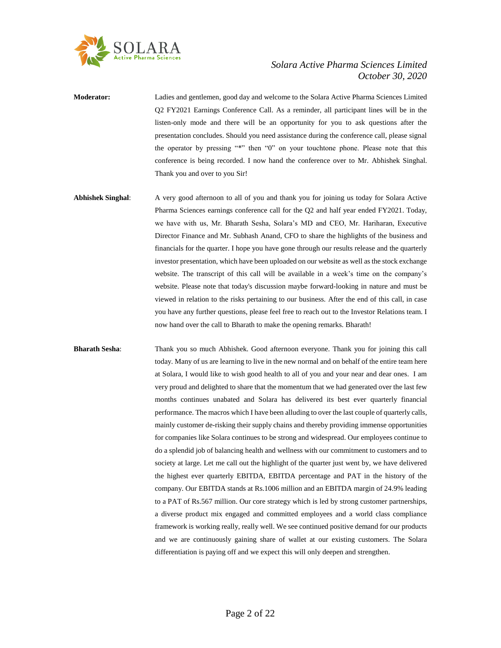

**Moderator:** Ladies and gentlemen, good day and welcome to the Solara Active Pharma Sciences Limited Q2 FY2021 Earnings Conference Call. As a reminder, all participant lines will be in the listen-only mode and there will be an opportunity for you to ask questions after the presentation concludes. Should you need assistance during the conference call, please signal the operator by pressing "\*" then "0" on your touchtone phone. Please note that this conference is being recorded. I now hand the conference over to Mr. Abhishek Singhal. Thank you and over to you Sir!

**Abhishek Singhal**: A very good afternoon to all of you and thank you for joining us today for Solara Active Pharma Sciences earnings conference call for the Q2 and half year ended FY2021. Today, we have with us, Mr. Bharath Sesha, Solara's MD and CEO, Mr. Hariharan, Executive Director Finance and Mr. Subhash Anand, CFO to share the highlights of the business and financials for the quarter. I hope you have gone through our results release and the quarterly investor presentation, which have been uploaded on our website as well as the stock exchange website. The transcript of this call will be available in a week's time on the company's website. Please note that today's discussion maybe forward-looking in nature and must be viewed in relation to the risks pertaining to our business. After the end of this call, in case you have any further questions, please feel free to reach out to the Investor Relations team. I now hand over the call to Bharath to make the opening remarks. Bharath!

**Bharath Sesha**: Thank you so much Abhishek. Good afternoon everyone. Thank you for joining this call today. Many of us are learning to live in the new normal and on behalf of the entire team here at Solara, I would like to wish good health to all of you and your near and dear ones. I am very proud and delighted to share that the momentum that we had generated over the last few months continues unabated and Solara has delivered its best ever quarterly financial performance. The macros which I have been alluding to over the last couple of quarterly calls, mainly customer de-risking their supply chains and thereby providing immense opportunities for companies like Solara continues to be strong and widespread. Our employees continue to do a splendid job of balancing health and wellness with our commitment to customers and to society at large. Let me call out the highlight of the quarter just went by, we have delivered the highest ever quarterly EBITDA, EBITDA percentage and PAT in the history of the company. Our EBITDA stands at Rs.1006 million and an EBITDA margin of 24.9% leading to a PAT of Rs.567 million. Our core strategy which is led by strong customer partnerships, a diverse product mix engaged and committed employees and a world class compliance framework is working really, really well. We see continued positive demand for our products and we are continuously gaining share of wallet at our existing customers. The Solara differentiation is paying off and we expect this will only deepen and strengthen.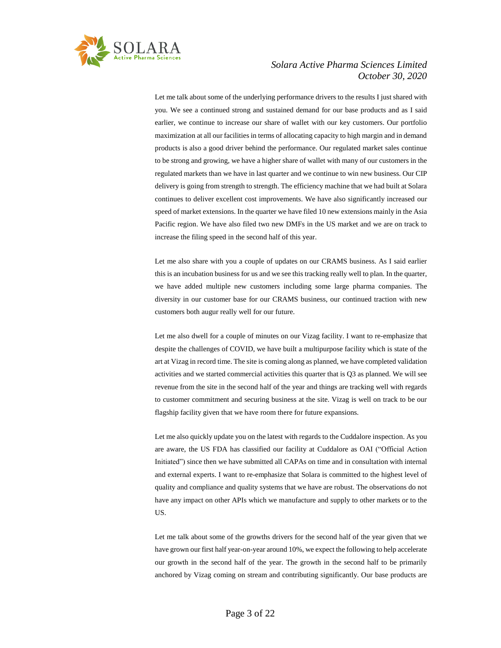

Let me talk about some of the underlying performance drivers to the results I just shared with you. We see a continued strong and sustained demand for our base products and as I said earlier, we continue to increase our share of wallet with our key customers. Our portfolio maximization at all our facilities in terms of allocating capacity to high margin and in demand products is also a good driver behind the performance. Our regulated market sales continue to be strong and growing, we have a higher share of wallet with many of our customers in the regulated markets than we have in last quarter and we continue to win new business. Our CIP delivery is going from strength to strength. The efficiency machine that we had built at Solara continues to deliver excellent cost improvements. We have also significantly increased our speed of market extensions. In the quarter we have filed 10 new extensions mainly in the Asia Pacific region. We have also filed two new DMFs in the US market and we are on track to increase the filing speed in the second half of this year.

Let me also share with you a couple of updates on our CRAMS business. As I said earlier this is an incubation business for us and we see this tracking really well to plan. In the quarter, we have added multiple new customers including some large pharma companies. The diversity in our customer base for our CRAMS business, our continued traction with new customers both augur really well for our future.

Let me also dwell for a couple of minutes on our Vizag facility. I want to re-emphasize that despite the challenges of COVID, we have built a multipurpose facility which is state of the art at Vizag in record time. The site is coming along as planned, we have completed validation activities and we started commercial activities this quarter that is Q3 as planned. We will see revenue from the site in the second half of the year and things are tracking well with regards to customer commitment and securing business at the site. Vizag is well on track to be our flagship facility given that we have room there for future expansions.

Let me also quickly update you on the latest with regards to the Cuddalore inspection. As you are aware, the US FDA has classified our facility at Cuddalore as OAI ("Official Action Initiated") since then we have submitted all CAPAs on time and in consultation with internal and external experts. I want to re-emphasize that Solara is committed to the highest level of quality and compliance and quality systems that we have are robust. The observations do not have any impact on other APIs which we manufacture and supply to other markets or to the US.

Let me talk about some of the growths drivers for the second half of the year given that we have grown our first half year-on-year around 10%, we expect the following to help accelerate our growth in the second half of the year. The growth in the second half to be primarily anchored by Vizag coming on stream and contributing significantly. Our base products are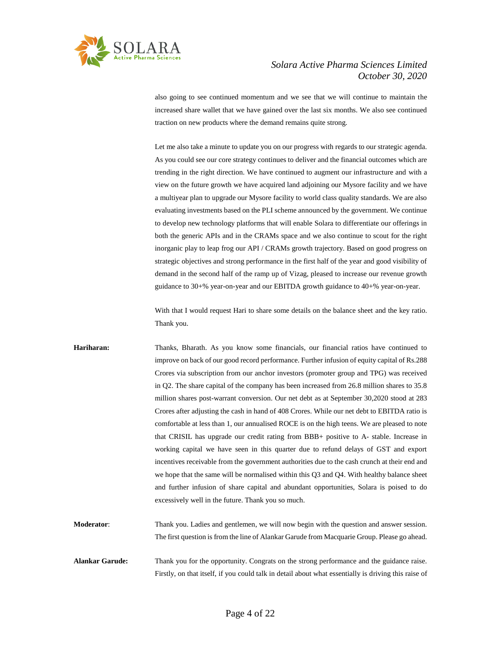

also going to see continued momentum and we see that we will continue to maintain the increased share wallet that we have gained over the last six months. We also see continued traction on new products where the demand remains quite strong.

Let me also take a minute to update you on our progress with regards to our strategic agenda. As you could see our core strategy continues to deliver and the financial outcomes which are trending in the right direction. We have continued to augment our infrastructure and with a view on the future growth we have acquired land adjoining our Mysore facility and we have a multiyear plan to upgrade our Mysore facility to world class quality standards. We are also evaluating investments based on the PLI scheme announced by the government. We continue to develop new technology platforms that will enable Solara to differentiate our offerings in both the generic APIs and in the CRAMs space and we also continue to scout for the right inorganic play to leap frog our API / CRAMs growth trajectory. Based on good progress on strategic objectives and strong performance in the first half of the year and good visibility of demand in the second half of the ramp up of Vizag, pleased to increase our revenue growth guidance to 30+% year-on-year and our EBITDA growth guidance to 40+% year-on-year.

With that I would request Hari to share some details on the balance sheet and the key ratio. Thank you.

**Hariharan:** Thanks, Bharath. As you know some financials, our financial ratios have continued to improve on back of our good record performance. Further infusion of equity capital of Rs.288 Crores via subscription from our anchor investors (promoter group and TPG) was received in Q2. The share capital of the company has been increased from 26.8 million shares to 35.8 million shares post-warrant conversion. Our net debt as at September 30,2020 stood at 283 Crores after adjusting the cash in hand of 408 Crores. While our net debt to EBITDA ratio is comfortable at less than 1, our annualised ROCE is on the high teens. We are pleased to note that CRISIL has upgrade our credit rating from BBB+ positive to A- stable. Increase in working capital we have seen in this quarter due to refund delays of GST and export incentives receivable from the government authorities due to the cash crunch at their end and we hope that the same will be normalised within this Q3 and Q4. With healthy balance sheet and further infusion of share capital and abundant opportunities, Solara is poised to do excessively well in the future. Thank you so much.

**Moderator**: Thank you. Ladies and gentlemen, we will now begin with the question and answer session. The first question is from the line of Alankar Garude from Macquarie Group. Please go ahead.

**Alankar Garude:** Thank you for the opportunity. Congrats on the strong performance and the guidance raise. Firstly, on that itself, if you could talk in detail about what essentially is driving this raise of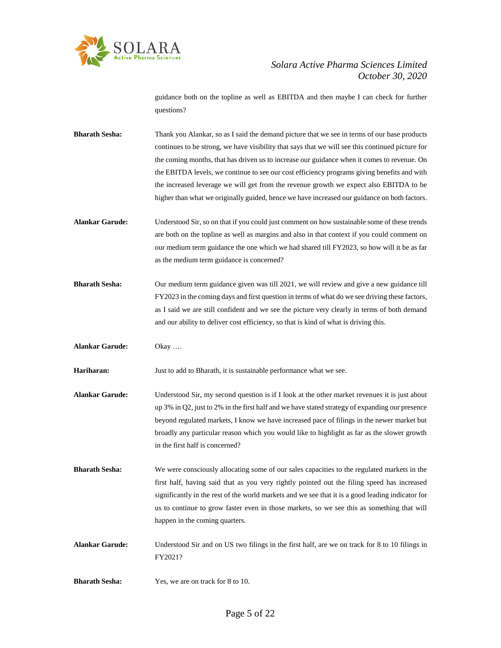

guidance both on the topline as well as EBITDA and then maybe I can check for further questions?

**Bharath Sesha:** Thank you Alankar, so as I said the demand picture that we see in terms of our base products continues to be strong, we have visibility that says that we will see this continued picture for the coming months, that has driven us to increase our guidance when it comes to revenue. On the EBITDA levels, we continue to see our cost efficiency programs giving benefits and with the increased leverage we will get from the revenue growth we expect also EBITDA to be higher than what we originally guided, hence we have increased our guidance on both factors.

- **Alankar Garude:** Understood Sir, so on that if you could just comment on how sustainable some of these trends are both on the topline as well as margins and also in that context if you could comment on our medium term guidance the one which we had shared till FY2023, so how will it be as far as the medium term guidance is concerned?
- **Bharath Sesha:** Our medium term guidance given was till 2021, we will review and give a new guidance till FY2023 in the coming days and first question in terms of what do we see driving these factors, as I said we are still confident and we see the picture very clearly in terms of both demand and our ability to deliver cost efficiency, so that is kind of what is driving this.
- **Alankar Garude:** Okay ….

**Hariharan:** Just to add to Bharath, it is sustainable performance what we see.

- **Alankar Garude:** Understood Sir, my second question is if I look at the other market revenues it is just about up 3% in Q2, just to 2% in the first half and we have stated strategy of expanding our presence beyond regulated markets, I know we have increased pace of filings in the newer market but broadly any particular reason which you would like to highlight as far as the slower growth in the first half is concerned?
- **Bharath Sesha:** We were consciously allocating some of our sales capacities to the regulated markets in the first half, having said that as you very rightly pointed out the filing speed has increased significantly in the rest of the world markets and we see that it is a good leading indicator for us to continue to grow faster even in those markets, so we see this as something that will happen in the coming quarters.
- **Alankar Garude:** Understood Sir and on US two filings in the first half, are we on track for 8 to 10 filings in FY2021?
- **Bharath Sesha:** Yes, we are on track for 8 to 10.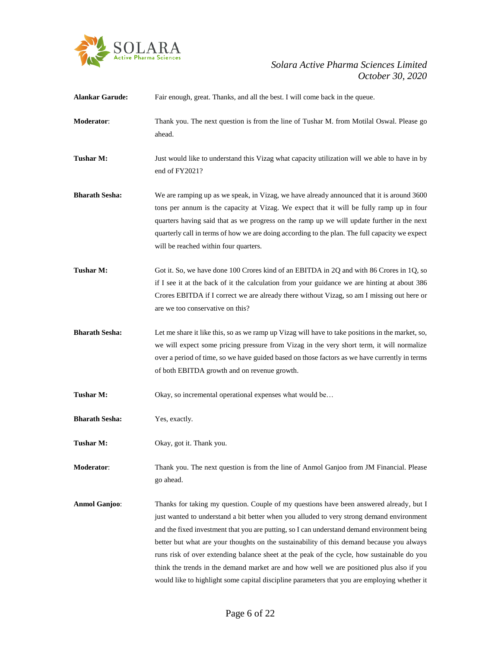

| <b>Alankar Garude:</b> | Fair enough, great. Thanks, and all the best. I will come back in the queue.                                                                                                                                                                                                                                                                                                                                                                                                                                                                                                                                                                                                |
|------------------------|-----------------------------------------------------------------------------------------------------------------------------------------------------------------------------------------------------------------------------------------------------------------------------------------------------------------------------------------------------------------------------------------------------------------------------------------------------------------------------------------------------------------------------------------------------------------------------------------------------------------------------------------------------------------------------|
| Moderator:             | Thank you. The next question is from the line of Tushar M. from Motilal Oswal. Please go<br>ahead.                                                                                                                                                                                                                                                                                                                                                                                                                                                                                                                                                                          |
| Tushar M:              | Just would like to understand this Vizag what capacity utilization will we able to have in by<br>end of FY2021?                                                                                                                                                                                                                                                                                                                                                                                                                                                                                                                                                             |
| <b>Bharath Sesha:</b>  | We are ramping up as we speak, in Vizag, we have already announced that it is around 3600<br>tons per annum is the capacity at Vizag. We expect that it will be fully ramp up in four<br>quarters having said that as we progress on the ramp up we will update further in the next<br>quarterly call in terms of how we are doing according to the plan. The full capacity we expect<br>will be reached within four quarters.                                                                                                                                                                                                                                              |
| Tushar M:              | Got it. So, we have done 100 Crores kind of an EBITDA in 2Q and with 86 Crores in 1Q, so<br>if I see it at the back of it the calculation from your guidance we are hinting at about 386<br>Crores EBITDA if I correct we are already there without Vizag, so am I missing out here or<br>are we too conservative on this?                                                                                                                                                                                                                                                                                                                                                  |
| <b>Bharath Sesha:</b>  | Let me share it like this, so as we ramp up Vizag will have to take positions in the market, so,<br>we will expect some pricing pressure from Vizag in the very short term, it will normalize<br>over a period of time, so we have guided based on those factors as we have currently in terms<br>of both EBITDA growth and on revenue growth.                                                                                                                                                                                                                                                                                                                              |
| Tushar M:              | Okay, so incremental operational expenses what would be                                                                                                                                                                                                                                                                                                                                                                                                                                                                                                                                                                                                                     |
| <b>Bharath Sesha:</b>  | Yes, exactly.                                                                                                                                                                                                                                                                                                                                                                                                                                                                                                                                                                                                                                                               |
| Tushar M:              | Okay, got it. Thank you.                                                                                                                                                                                                                                                                                                                                                                                                                                                                                                                                                                                                                                                    |
| Moderator:             | Thank you. The next question is from the line of Anmol Ganjoo from JM Financial. Please<br>go ahead.                                                                                                                                                                                                                                                                                                                                                                                                                                                                                                                                                                        |
| <b>Anmol Ganjoo:</b>   | Thanks for taking my question. Couple of my questions have been answered already, but I<br>just wanted to understand a bit better when you alluded to very strong demand environment<br>and the fixed investment that you are putting, so I can understand demand environment being<br>better but what are your thoughts on the sustainability of this demand because you always<br>runs risk of over extending balance sheet at the peak of the cycle, how sustainable do you<br>think the trends in the demand market are and how well we are positioned plus also if you<br>would like to highlight some capital discipline parameters that you are employing whether it |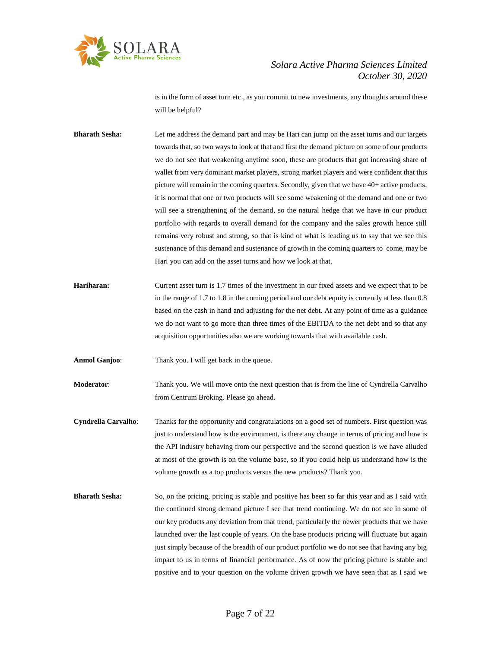

is in the form of asset turn etc., as you commit to new investments, any thoughts around these will be helpful?

**Bharath Sesha:** Let me address the demand part and may be Hari can jump on the asset turns and our targets towards that, so two ways to look at that and first the demand picture on some of our products we do not see that weakening anytime soon, these are products that got increasing share of wallet from very dominant market players, strong market players and were confident that this picture will remain in the coming quarters. Secondly, given that we have 40+ active products, it is normal that one or two products will see some weakening of the demand and one or two will see a strengthening of the demand, so the natural hedge that we have in our product portfolio with regards to overall demand for the company and the sales growth hence still remains very robust and strong, so that is kind of what is leading us to say that we see this sustenance of this demand and sustenance of growth in the coming quarters to come, may be Hari you can add on the asset turns and how we look at that.

**Hariharan:** Current asset turn is 1.7 times of the investment in our fixed assets and we expect that to be in the range of 1.7 to 1.8 in the coming period and our debt equity is currently at less than 0.8 based on the cash in hand and adjusting for the net debt. At any point of time as a guidance we do not want to go more than three times of the EBITDA to the net debt and so that any acquisition opportunities also we are working towards that with available cash.

**Anmol Ganjoo**: Thank you. I will get back in the queue.

**Moderator**: Thank you. We will move onto the next question that is from the line of Cyndrella Carvalho from Centrum Broking. Please go ahead.

**Cyndrella Carvalho**: Thanks for the opportunity and congratulations on a good set of numbers. First question was just to understand how is the environment, is there any change in terms of pricing and how is the API industry behaving from our perspective and the second question is we have alluded at most of the growth is on the volume base, so if you could help us understand how is the volume growth as a top products versus the new products? Thank you.

**Bharath Sesha:** So, on the pricing, pricing is stable and positive has been so far this year and as I said with the continued strong demand picture I see that trend continuing. We do not see in some of our key products any deviation from that trend, particularly the newer products that we have launched over the last couple of years. On the base products pricing will fluctuate but again just simply because of the breadth of our product portfolio we do not see that having any big impact to us in terms of financial performance. As of now the pricing picture is stable and positive and to your question on the volume driven growth we have seen that as I said we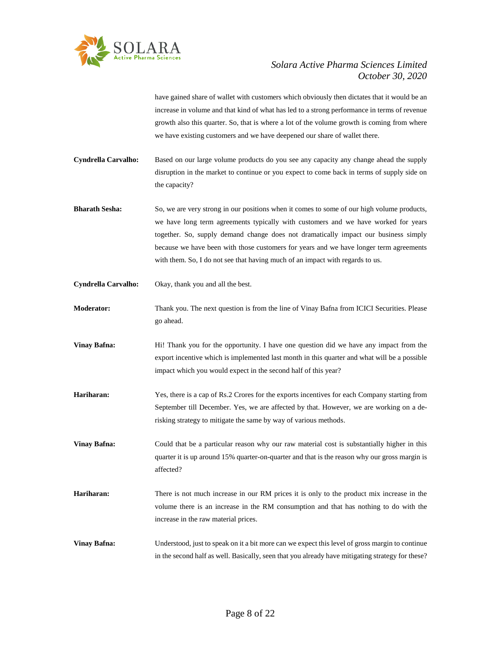

have gained share of wallet with customers which obviously then dictates that it would be an increase in volume and that kind of what has led to a strong performance in terms of revenue growth also this quarter. So, that is where a lot of the volume growth is coming from where we have existing customers and we have deepened our share of wallet there.

**Cyndrella Carvalho:** Based on our large volume products do you see any capacity any change ahead the supply disruption in the market to continue or you expect to come back in terms of supply side on the capacity?

**Bharath Sesha:** So, we are very strong in our positions when it comes to some of our high volume products, we have long term agreements typically with customers and we have worked for years together. So, supply demand change does not dramatically impact our business simply because we have been with those customers for years and we have longer term agreements with them. So, I do not see that having much of an impact with regards to us.

**Cyndrella Carvalho:** Okay, thank you and all the best.

**Moderator:** Thank you. The next question is from the line of Vinay Bafna from ICICI Securities. Please go ahead.

**Vinay Bafna:** Hi! Thank you for the opportunity. I have one question did we have any impact from the export incentive which is implemented last month in this quarter and what will be a possible impact which you would expect in the second half of this year?

**Hariharan:** Yes, there is a cap of Rs.2 Crores for the exports incentives for each Company starting from September till December. Yes, we are affected by that. However, we are working on a derisking strategy to mitigate the same by way of various methods.

**Vinay Bafna:** Could that be a particular reason why our raw material cost is substantially higher in this quarter it is up around 15% quarter-on-quarter and that is the reason why our gross margin is affected?

**Hariharan:** There is not much increase in our RM prices it is only to the product mix increase in the volume there is an increase in the RM consumption and that has nothing to do with the increase in the raw material prices.

**Vinay Bafna:** Understood, just to speak on it a bit more can we expect this level of gross margin to continue in the second half as well. Basically, seen that you already have mitigating strategy for these?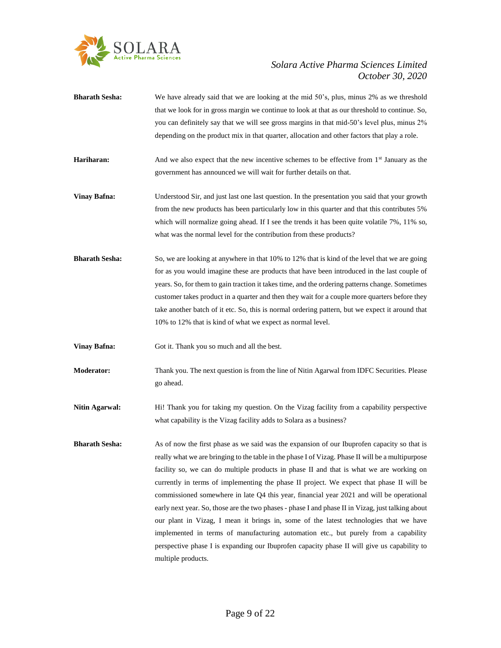

- **Bharath Sesha:** We have already said that we are looking at the mid 50's, plus, minus 2% as we threshold that we look for in gross margin we continue to look at that as our threshold to continue. So, you can definitely say that we will see gross margins in that mid-50's level plus, minus 2% depending on the product mix in that quarter, allocation and other factors that play a role. **Hariharan:** And we also expect that the new incentive schemes to be effective from 1<sup>st</sup> January as the government has announced we will wait for further details on that. **Vinay Bafna:** Understood Sir, and just last one last question. In the presentation you said that your growth from the new products has been particularly low in this quarter and that this contributes 5% which will normalize going ahead. If I see the trends it has been quite volatile 7%, 11% so, what was the normal level for the contribution from these products? **Bharath Sesha:** So, we are looking at anywhere in that 10% to 12% that is kind of the level that we are going for as you would imagine these are products that have been introduced in the last couple of years. So, for them to gain traction it takes time, and the ordering patterns change. Sometimes customer takes product in a quarter and then they wait for a couple more quarters before they take another batch of it etc. So, this is normal ordering pattern, but we expect it around that 10% to 12% that is kind of what we expect as normal level. **Vinay Bafna:** Got it. Thank you so much and all the best. **Moderator:** Thank you. The next question is from the line of Nitin Agarwal from IDFC Securities. Please
- go ahead. **Nitin Agarwal:** Hi! Thank you for taking my question. On the Vizag facility from a capability perspective
	- **Bharath Sesha:** As of now the first phase as we said was the expansion of our Ibuprofen capacity so that is really what we are bringing to the table in the phase I of Vizag. Phase II will be a multipurpose facility so, we can do multiple products in phase II and that is what we are working on currently in terms of implementing the phase II project. We expect that phase II will be commissioned somewhere in late Q4 this year, financial year 2021 and will be operational early next year. So, those are the two phases - phase I and phase II in Vizag, just talking about our plant in Vizag, I mean it brings in, some of the latest technologies that we have implemented in terms of manufacturing automation etc., but purely from a capability perspective phase I is expanding our Ibuprofen capacity phase II will give us capability to multiple products.

what capability is the Vizag facility adds to Solara as a business?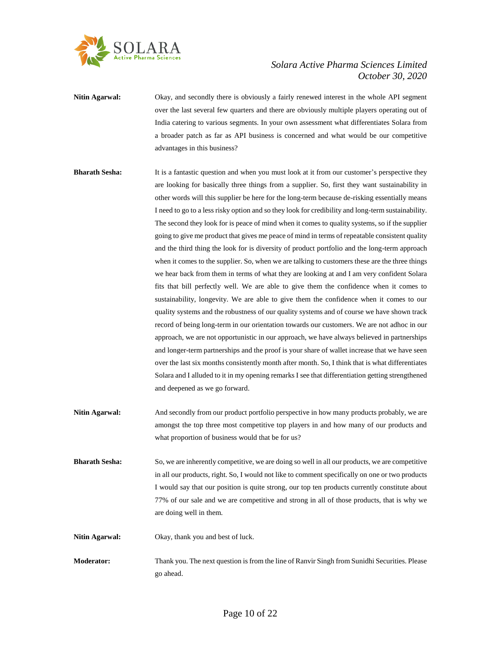

**Nitin Agarwal:** Okay, and secondly there is obviously a fairly renewed interest in the whole API segment over the last several few quarters and there are obviously multiple players operating out of India catering to various segments. In your own assessment what differentiates Solara from a broader patch as far as API business is concerned and what would be our competitive advantages in this business?

- **Bharath Sesha:** It is a fantastic question and when you must look at it from our customer's perspective they are looking for basically three things from a supplier. So, first they want sustainability in other words will this supplier be here for the long-term because de-risking essentially means I need to go to a less risky option and so they look for credibility and long-term sustainability. The second they look for is peace of mind when it comes to quality systems, so if the supplier going to give me product that gives me peace of mind in terms of repeatable consistent quality and the third thing the look for is diversity of product portfolio and the long-term approach when it comes to the supplier. So, when we are talking to customers these are the three things we hear back from them in terms of what they are looking at and I am very confident Solara fits that bill perfectly well. We are able to give them the confidence when it comes to sustainability, longevity. We are able to give them the confidence when it comes to our quality systems and the robustness of our quality systems and of course we have shown track record of being long-term in our orientation towards our customers. We are not adhoc in our approach, we are not opportunistic in our approach, we have always believed in partnerships and longer-term partnerships and the proof is your share of wallet increase that we have seen over the last six months consistently month after month. So, I think that is what differentiates Solara and I alluded to it in my opening remarks I see that differentiation getting strengthened and deepened as we go forward.
- **Nitin Agarwal:** And secondly from our product portfolio perspective in how many products probably, we are amongst the top three most competitive top players in and how many of our products and what proportion of business would that be for us?
- **Bharath Sesha:** So, we are inherently competitive, we are doing so well in all our products, we are competitive in all our products, right. So, I would not like to comment specifically on one or two products I would say that our position is quite strong, our top ten products currently constitute about 77% of our sale and we are competitive and strong in all of those products, that is why we are doing well in them.
- **Nitin Agarwal:** Okay, thank you and best of luck.
- **Moderator:** Thank you. The next question is from the line of Ranvir Singh from Sunidhi Securities. Please go ahead.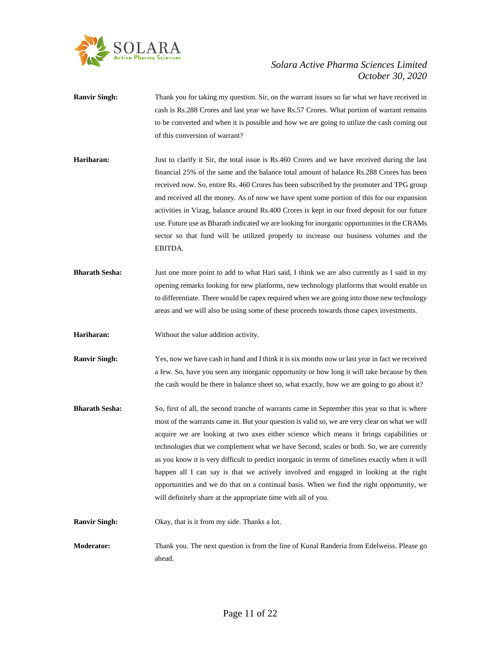

- **Ranvir Singh:** Thank you for taking my question. Sir, on the warrant issues so far what we have received in cash is Rs.288 Crores and last year we have Rs.57 Crores. What portion of warrant remains to be converted and when it is possible and how we are going to utilize the cash coming out of this conversion of warrant?
- **Hariharan:** Just to clarify it Sir, the total issue is Rs.460 Crores and we have received during the last financial 25% of the same and the balance total amount of balance Rs.288 Crores has been received now. So, entire Rs. 460 Crores has been subscribed by the promoter and TPG group and received all the money. As of now we have spent some portion of this for our expansion activities in Vizag, balance around Rs.400 Crores is kept in our fixed deposit for our future use. Future use as Bharath indicated we are looking for inorganic opportunities in the CRAMs sector so that fund will be utilized properly to increase our business volumes and the EBITDA.
- **Bharath Sesha:** Just one more point to add to what Hari said, I think we are also currently as I said in my opening remarks looking for new platforms, new technology platforms that would enable us to differentiate. There would be capex required when we are going into those new technology areas and we will also be using some of these proceeds towards those capex investments.
- **Hariharan:** Without the value addition activity.
- **Ranvir Singh:** Yes, now we have cash in hand and I think it is six months now or last year in fact we received a few. So, have you seen any inorganic opportunity or how long it will take because by then the cash would be there in balance sheet so, what exactly, how we are going to go about it?
- **Bharath Sesha:** So, first of all, the second tranche of warrants came in September this year so that is where most of the warrants came in. But your question is valid so, we are very clear on what we will acquire we are looking at two axes either science which means it brings capabilities or technologies that we complement what we have Second, scales or both. So, we are currently as you know it is very difficult to predict inorganic in terms of timelines exactly when it will happen all I can say is that we actively involved and engaged in looking at the right opportunities and we do that on a continual basis. When we find the right opportunity, we will definitely share at the appropriate time with all of you.
- **Ranvir Singh:** Okay, that is it from my side. Thanks a lot.
- **Moderator:** Thank you. The next question is from the line of Kunal Randeria from Edelweiss. Please go ahead.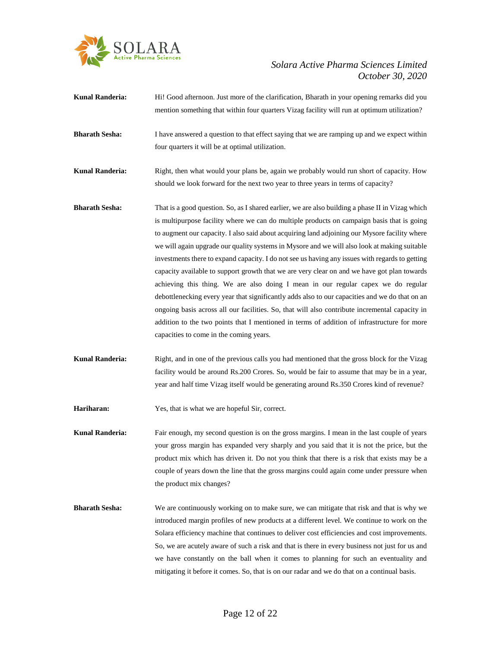

| <b>Kunal Randeria:</b> | Hi! Good afternoon. Just more of the clarification, Bharath in your opening remarks did you<br>mention something that within four quarters Vizag facility will run at optimum utilization?                                                                                                                                                                                                                                                                                                                                                                                                                                                                                                                                                                                                                                                                                                                                                                                                                                           |
|------------------------|--------------------------------------------------------------------------------------------------------------------------------------------------------------------------------------------------------------------------------------------------------------------------------------------------------------------------------------------------------------------------------------------------------------------------------------------------------------------------------------------------------------------------------------------------------------------------------------------------------------------------------------------------------------------------------------------------------------------------------------------------------------------------------------------------------------------------------------------------------------------------------------------------------------------------------------------------------------------------------------------------------------------------------------|
| <b>Bharath Sesha:</b>  | I have answered a question to that effect saying that we are ramping up and we expect within<br>four quarters it will be at optimal utilization.                                                                                                                                                                                                                                                                                                                                                                                                                                                                                                                                                                                                                                                                                                                                                                                                                                                                                     |
| <b>Kunal Randeria:</b> | Right, then what would your plans be, again we probably would run short of capacity. How<br>should we look forward for the next two year to three years in terms of capacity?                                                                                                                                                                                                                                                                                                                                                                                                                                                                                                                                                                                                                                                                                                                                                                                                                                                        |
| <b>Bharath Sesha:</b>  | That is a good question. So, as I shared earlier, we are also building a phase II in Vizag which<br>is multipurpose facility where we can do multiple products on campaign basis that is going<br>to augment our capacity. I also said about acquiring land adjoining our Mysore facility where<br>we will again upgrade our quality systems in Mysore and we will also look at making suitable<br>investments there to expand capacity. I do not see us having any issues with regards to getting<br>capacity available to support growth that we are very clear on and we have got plan towards<br>achieving this thing. We are also doing I mean in our regular capex we do regular<br>debottlenecking every year that significantly adds also to our capacities and we do that on an<br>ongoing basis across all our facilities. So, that will also contribute incremental capacity in<br>addition to the two points that I mentioned in terms of addition of infrastructure for more<br>capacities to come in the coming years. |
| <b>Kunal Randeria:</b> | Right, and in one of the previous calls you had mentioned that the gross block for the Vizag<br>facility would be around Rs.200 Crores. So, would be fair to assume that may be in a year,<br>year and half time Vizag itself would be generating around Rs.350 Crores kind of revenue?                                                                                                                                                                                                                                                                                                                                                                                                                                                                                                                                                                                                                                                                                                                                              |
| Hariharan:             | Yes, that is what we are hopeful Sir, correct.                                                                                                                                                                                                                                                                                                                                                                                                                                                                                                                                                                                                                                                                                                                                                                                                                                                                                                                                                                                       |
| <b>Kunal Randeria:</b> | Fair enough, my second question is on the gross margins. I mean in the last couple of years<br>your gross margin has expanded very sharply and you said that it is not the price, but the<br>product mix which has driven it. Do not you think that there is a risk that exists may be a<br>couple of years down the line that the gross margins could again come under pressure when<br>the product mix changes?                                                                                                                                                                                                                                                                                                                                                                                                                                                                                                                                                                                                                    |
| <b>Bharath Sesha:</b>  | We are continuously working on to make sure, we can mitigate that risk and that is why we<br>introduced margin profiles of new products at a different level. We continue to work on the<br>Solara efficiency machine that continues to deliver cost efficiencies and cost improvements.<br>So, we are acutely aware of such a risk and that is there in every business not just for us and<br>we have constantly on the ball when it comes to planning for such an eventuality and<br>mitigating it before it comes. So, that is on our radar and we do that on a continual basis.                                                                                                                                                                                                                                                                                                                                                                                                                                                  |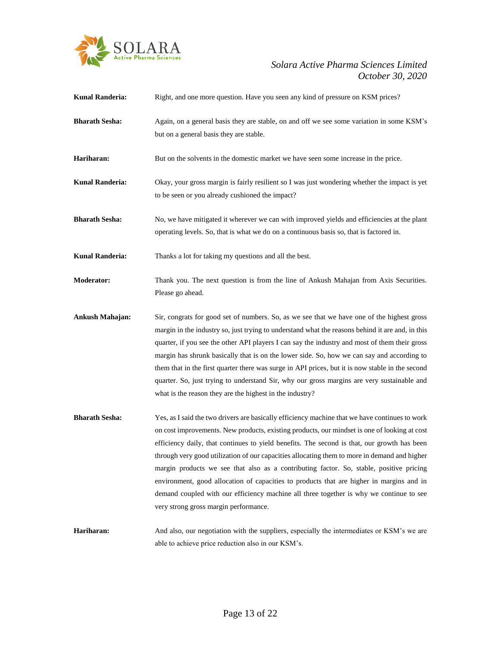

| <b>Kunal Randeria:</b> | Right, and one more question. Have you seen any kind of pressure on KSM prices?                                                                                                                                                                                                                                                                                                                                                                                                                                                                                                                                                                                                                                          |
|------------------------|--------------------------------------------------------------------------------------------------------------------------------------------------------------------------------------------------------------------------------------------------------------------------------------------------------------------------------------------------------------------------------------------------------------------------------------------------------------------------------------------------------------------------------------------------------------------------------------------------------------------------------------------------------------------------------------------------------------------------|
| <b>Bharath Sesha:</b>  | Again, on a general basis they are stable, on and off we see some variation in some KSM's<br>but on a general basis they are stable.                                                                                                                                                                                                                                                                                                                                                                                                                                                                                                                                                                                     |
| Hariharan:             | But on the solvents in the domestic market we have seen some increase in the price.                                                                                                                                                                                                                                                                                                                                                                                                                                                                                                                                                                                                                                      |
| <b>Kunal Randeria:</b> | Okay, your gross margin is fairly resilient so I was just wondering whether the impact is yet<br>to be seen or you already cushioned the impact?                                                                                                                                                                                                                                                                                                                                                                                                                                                                                                                                                                         |
| <b>Bharath Sesha:</b>  | No, we have mitigated it wherever we can with improved yields and efficiencies at the plant<br>operating levels. So, that is what we do on a continuous basis so, that is factored in.                                                                                                                                                                                                                                                                                                                                                                                                                                                                                                                                   |
| <b>Kunal Randeria:</b> | Thanks a lot for taking my questions and all the best.                                                                                                                                                                                                                                                                                                                                                                                                                                                                                                                                                                                                                                                                   |
| <b>Moderator:</b>      | Thank you. The next question is from the line of Ankush Mahajan from Axis Securities.<br>Please go ahead.                                                                                                                                                                                                                                                                                                                                                                                                                                                                                                                                                                                                                |
| Ankush Mahajan:        | Sir, congrats for good set of numbers. So, as we see that we have one of the highest gross<br>margin in the industry so, just trying to understand what the reasons behind it are and, in this<br>quarter, if you see the other API players I can say the industry and most of them their gross<br>margin has shrunk basically that is on the lower side. So, how we can say and according to<br>them that in the first quarter there was surge in API prices, but it is now stable in the second<br>quarter. So, just trying to understand Sir, why our gross margins are very sustainable and<br>what is the reason they are the highest in the industry?                                                              |
| <b>Bharath Sesha:</b>  | Yes, as I said the two drivers are basically efficiency machine that we have continues to work<br>on cost improvements. New products, existing products, our mindset is one of looking at cost<br>efficiency daily, that continues to yield benefits. The second is that, our growth has been<br>through very good utilization of our capacities allocating them to more in demand and higher<br>margin products we see that also as a contributing factor. So, stable, positive pricing<br>environment, good allocation of capacities to products that are higher in margins and in<br>demand coupled with our efficiency machine all three together is why we continue to see<br>very strong gross margin performance. |
| Hariharan:             | And also, our negotiation with the suppliers, especially the intermediates or KSM's we are<br>able to achieve price reduction also in our KSM's.                                                                                                                                                                                                                                                                                                                                                                                                                                                                                                                                                                         |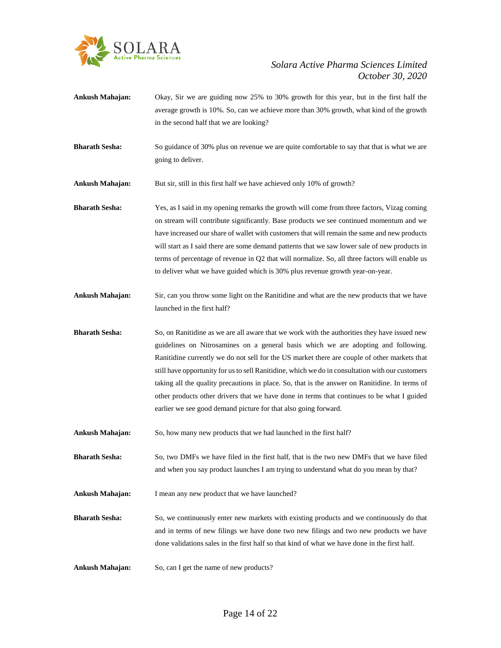

- **Ankush Mahajan:** Okay, Sir we are guiding now 25% to 30% growth for this year, but in the first half the average growth is 10%. So, can we achieve more than 30% growth, what kind of the growth in the second half that we are looking?
- **Bharath Sesha:** So guidance of 30% plus on revenue we are quite comfortable to say that that is what we are going to deliver.
- **Ankush Mahajan:** But sir, still in this first half we have achieved only 10% of growth?

**Bharath Sesha:** Yes, as I said in my opening remarks the growth will come from three factors, Vizag coming on stream will contribute significantly. Base products we see continued momentum and we have increased our share of wallet with customers that will remain the same and new products will start as I said there are some demand patterns that we saw lower sale of new products in terms of percentage of revenue in Q2 that will normalize. So, all three factors will enable us to deliver what we have guided which is 30% plus revenue growth year-on-year.

- **Ankush Mahajan:** Sir, can you throw some light on the Ranitidine and what are the new products that we have launched in the first half?
- **Bharath Sesha:** So, on Ranitidine as we are all aware that we work with the authorities they have issued new guidelines on Nitrosamines on a general basis which we are adopting and following. Ranitidine currently we do not sell for the US market there are couple of other markets that still have opportunity for us to sell Ranitidine, which we do in consultation with our customers taking all the quality precautions in place. So, that is the answer on Ranitidine. In terms of other products other drivers that we have done in terms that continues to be what I guided earlier we see good demand picture for that also going forward.
- **Ankush Mahajan:** So, how many new products that we had launched in the first half?

**Bharath Sesha:** So, two DMFs we have filed in the first half, that is the two new DMFs that we have filed and when you say product launches I am trying to understand what do you mean by that?

**Ankush Mahajan:** I mean any new product that we have launched?

- **Bharath Sesha:** So, we continuously enter new markets with existing products and we continuously do that and in terms of new filings we have done two new filings and two new products we have done validations sales in the first half so that kind of what we have done in the first half.
- **Ankush Mahajan:** So, can I get the name of new products?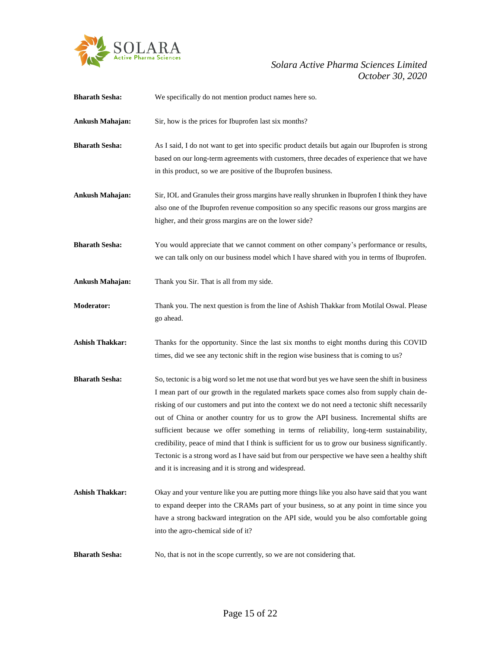

| <b>Bharath Sesha:</b>  | We specifically do not mention product names here so.                                                                                                                                                                                                                                                                                                                                                                                                                                                                                                                                                                                                                                                                                                 |
|------------------------|-------------------------------------------------------------------------------------------------------------------------------------------------------------------------------------------------------------------------------------------------------------------------------------------------------------------------------------------------------------------------------------------------------------------------------------------------------------------------------------------------------------------------------------------------------------------------------------------------------------------------------------------------------------------------------------------------------------------------------------------------------|
| Ankush Mahajan:        | Sir, how is the prices for Ibuprofen last six months?                                                                                                                                                                                                                                                                                                                                                                                                                                                                                                                                                                                                                                                                                                 |
| <b>Bharath Sesha:</b>  | As I said, I do not want to get into specific product details but again our Ibuprofen is strong<br>based on our long-term agreements with customers, three decades of experience that we have<br>in this product, so we are positive of the Ibuprofen business.                                                                                                                                                                                                                                                                                                                                                                                                                                                                                       |
| Ankush Mahajan:        | Sir, IOL and Granules their gross margins have really shrunken in Ibuprofen I think they have<br>also one of the Ibuprofen revenue composition so any specific reasons our gross margins are<br>higher, and their gross margins are on the lower side?                                                                                                                                                                                                                                                                                                                                                                                                                                                                                                |
| <b>Bharath Sesha:</b>  | You would appreciate that we cannot comment on other company's performance or results,<br>we can talk only on our business model which I have shared with you in terms of Ibuprofen.                                                                                                                                                                                                                                                                                                                                                                                                                                                                                                                                                                  |
| Ankush Mahajan:        | Thank you Sir. That is all from my side.                                                                                                                                                                                                                                                                                                                                                                                                                                                                                                                                                                                                                                                                                                              |
| <b>Moderator:</b>      | Thank you. The next question is from the line of Ashish Thakkar from Motilal Oswal. Please<br>go ahead.                                                                                                                                                                                                                                                                                                                                                                                                                                                                                                                                                                                                                                               |
| <b>Ashish Thakkar:</b> | Thanks for the opportunity. Since the last six months to eight months during this COVID<br>times, did we see any tectonic shift in the region wise business that is coming to us?                                                                                                                                                                                                                                                                                                                                                                                                                                                                                                                                                                     |
| <b>Bharath Sesha:</b>  | So, tectonic is a big word so let me not use that word but yes we have seen the shift in business<br>I mean part of our growth in the regulated markets space comes also from supply chain de-<br>risking of our customers and put into the context we do not need a tectonic shift necessarily<br>out of China or another country for us to grow the API business. Incremental shifts are<br>sufficient because we offer something in terms of reliability, long-term sustainability,<br>credibility, peace of mind that I think is sufficient for us to grow our business significantly.<br>Tectonic is a strong word as I have said but from our perspective we have seen a healthy shift<br>and it is increasing and it is strong and widespread. |
| <b>Ashish Thakkar:</b> | Okay and your venture like you are putting more things like you also have said that you want<br>to expand deeper into the CRAMs part of your business, so at any point in time since you<br>have a strong backward integration on the API side, would you be also comfortable going<br>into the agro-chemical side of it?                                                                                                                                                                                                                                                                                                                                                                                                                             |
| <b>Bharath Sesha:</b>  | No, that is not in the scope currently, so we are not considering that.                                                                                                                                                                                                                                                                                                                                                                                                                                                                                                                                                                                                                                                                               |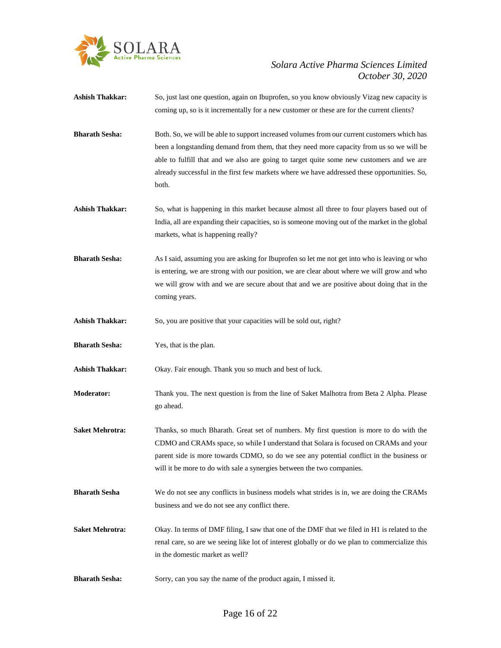

| Ashish Thakkar:        | So, just last one question, again on Ibuprofen, so you know obviously Vizag new capacity is<br>coming up, so is it incrementally for a new customer or these are for the current clients?                                                                                                                                                                                                    |
|------------------------|----------------------------------------------------------------------------------------------------------------------------------------------------------------------------------------------------------------------------------------------------------------------------------------------------------------------------------------------------------------------------------------------|
| <b>Bharath Sesha:</b>  | Both. So, we will be able to support increased volumes from our current customers which has<br>been a longstanding demand from them, that they need more capacity from us so we will be<br>able to fulfill that and we also are going to target quite some new customers and we are<br>already successful in the first few markets where we have addressed these opportunities. So,<br>both. |
| Ashish Thakkar:        | So, what is happening in this market because almost all three to four players based out of<br>India, all are expanding their capacities, so is someone moving out of the market in the global<br>markets, what is happening really?                                                                                                                                                          |
| <b>Bharath Sesha:</b>  | As I said, assuming you are asking for Ibuprofen so let me not get into who is leaving or who<br>is entering, we are strong with our position, we are clear about where we will grow and who<br>we will grow with and we are secure about that and we are positive about doing that in the<br>coming years.                                                                                  |
| <b>Ashish Thakkar:</b> | So, you are positive that your capacities will be sold out, right?                                                                                                                                                                                                                                                                                                                           |
| <b>Bharath Sesha:</b>  | Yes, that is the plan.                                                                                                                                                                                                                                                                                                                                                                       |
| Ashish Thakkar:        | Okay. Fair enough. Thank you so much and best of luck.                                                                                                                                                                                                                                                                                                                                       |
| <b>Moderator:</b>      | Thank you. The next question is from the line of Saket Malhotra from Beta 2 Alpha. Please<br>go ahead.                                                                                                                                                                                                                                                                                       |
| <b>Saket Mehrotra:</b> | Thanks, so much Bharath. Great set of numbers. My first question is more to do with the<br>CDMO and CRAMs space, so while I understand that Solara is focused on CRAMs and your<br>parent side is more towards CDMO, so do we see any potential conflict in the business or<br>will it be more to do with sale a synergies between the two companies.                                        |
| Bharath Sesha          | We do not see any conflicts in business models what strides is in, we are doing the CRAMs<br>business and we do not see any conflict there.                                                                                                                                                                                                                                                  |
| <b>Saket Mehrotra:</b> | Okay. In terms of DMF filing, I saw that one of the DMF that we filed in H1 is related to the<br>renal care, so are we seeing like lot of interest globally or do we plan to commercialize this<br>in the domestic market as well?                                                                                                                                                           |
| <b>Bharath Sesha:</b>  | Sorry, can you say the name of the product again, I missed it.                                                                                                                                                                                                                                                                                                                               |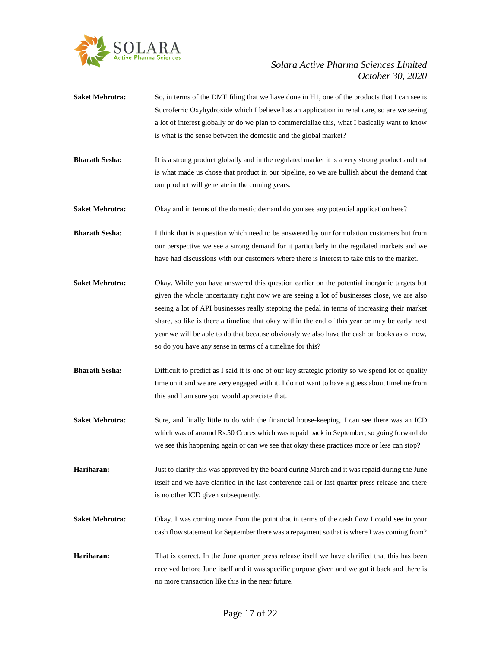

- **Saket Mehrotra:** So, in terms of the DMF filing that we have done in H1, one of the products that I can see is Sucroferric Oxyhydroxide which I believe has an application in renal care, so are we seeing a lot of interest globally or do we plan to commercialize this, what I basically want to know is what is the sense between the domestic and the global market?
- **Bharath Sesha:** It is a strong product globally and in the regulated market it is a very strong product and that is what made us chose that product in our pipeline, so we are bullish about the demand that our product will generate in the coming years.
- **Saket Mehrotra:** Okay and in terms of the domestic demand do you see any potential application here?
- **Bharath Sesha:** I think that is a question which need to be answered by our formulation customers but from our perspective we see a strong demand for it particularly in the regulated markets and we have had discussions with our customers where there is interest to take this to the market.
- **Saket Mehrotra:** Okay. While you have answered this question earlier on the potential inorganic targets but given the whole uncertainty right now we are seeing a lot of businesses close, we are also seeing a lot of API businesses really stepping the pedal in terms of increasing their market share, so like is there a timeline that okay within the end of this year or may be early next year we will be able to do that because obviously we also have the cash on books as of now, so do you have any sense in terms of a timeline for this?
- **Bharath Sesha:** Difficult to predict as I said it is one of our key strategic priority so we spend lot of quality time on it and we are very engaged with it. I do not want to have a guess about timeline from this and I am sure you would appreciate that.
- **Saket Mehrotra:** Sure, and finally little to do with the financial house-keeping. I can see there was an ICD which was of around Rs.50 Crores which was repaid back in September, so going forward do we see this happening again or can we see that okay these practices more or less can stop?
- **Hariharan:** Just to clarify this was approved by the board during March and it was repaid during the June itself and we have clarified in the last conference call or last quarter press release and there is no other ICD given subsequently.
- **Saket Mehrotra:** Okay. I was coming more from the point that in terms of the cash flow I could see in your cash flow statement for September there was a repayment so that is where I was coming from?
- **Hariharan:** That is correct. In the June quarter press release itself we have clarified that this has been received before June itself and it was specific purpose given and we got it back and there is no more transaction like this in the near future.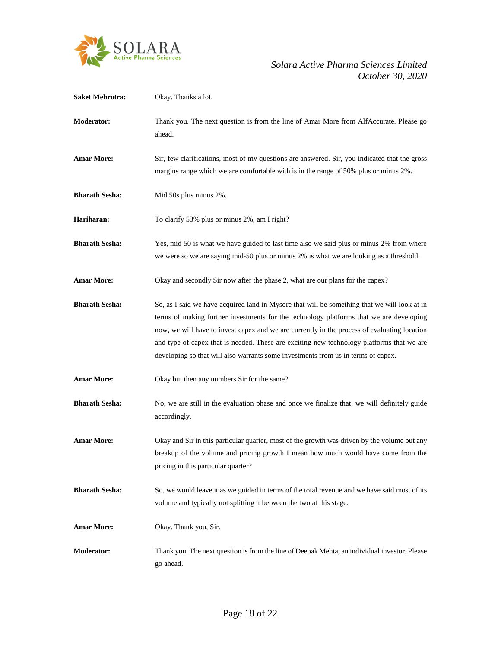

| <b>Saket Mehrotra:</b> | Okay. Thanks a lot.                                                                                                                                                                                                                                                                                                                                                                                                                                                       |
|------------------------|---------------------------------------------------------------------------------------------------------------------------------------------------------------------------------------------------------------------------------------------------------------------------------------------------------------------------------------------------------------------------------------------------------------------------------------------------------------------------|
| Moderator:             | Thank you. The next question is from the line of Amar More from AlfAccurate. Please go<br>ahead.                                                                                                                                                                                                                                                                                                                                                                          |
| <b>Amar More:</b>      | Sir, few clarifications, most of my questions are answered. Sir, you indicated that the gross<br>margins range which we are comfortable with is in the range of 50% plus or minus 2%.                                                                                                                                                                                                                                                                                     |
| <b>Bharath Sesha:</b>  | Mid 50s plus minus 2%.                                                                                                                                                                                                                                                                                                                                                                                                                                                    |
| Hariharan:             | To clarify 53% plus or minus 2%, am I right?                                                                                                                                                                                                                                                                                                                                                                                                                              |
| <b>Bharath Sesha:</b>  | Yes, mid 50 is what we have guided to last time also we said plus or minus 2% from where<br>we were so we are saying mid-50 plus or minus 2% is what we are looking as a threshold.                                                                                                                                                                                                                                                                                       |
| <b>Amar More:</b>      | Okay and secondly Sir now after the phase 2, what are our plans for the capex?                                                                                                                                                                                                                                                                                                                                                                                            |
| <b>Bharath Sesha:</b>  | So, as I said we have acquired land in Mysore that will be something that we will look at in<br>terms of making further investments for the technology platforms that we are developing<br>now, we will have to invest capex and we are currently in the process of evaluating location<br>and type of capex that is needed. These are exciting new technology platforms that we are<br>developing so that will also warrants some investments from us in terms of capex. |
| <b>Amar More:</b>      | Okay but then any numbers Sir for the same?                                                                                                                                                                                                                                                                                                                                                                                                                               |
| <b>Bharath Sesha:</b>  | No, we are still in the evaluation phase and once we finalize that, we will definitely guide<br>accordingly.                                                                                                                                                                                                                                                                                                                                                              |
| <b>Amar More:</b>      | Okay and Sir in this particular quarter, most of the growth was driven by the volume but any<br>breakup of the volume and pricing growth I mean how much would have come from the<br>pricing in this particular quarter?                                                                                                                                                                                                                                                  |
| <b>Bharath Sesha:</b>  | So, we would leave it as we guided in terms of the total revenue and we have said most of its<br>volume and typically not splitting it between the two at this stage.                                                                                                                                                                                                                                                                                                     |
| <b>Amar More:</b>      | Okay. Thank you, Sir.                                                                                                                                                                                                                                                                                                                                                                                                                                                     |
| <b>Moderator:</b>      | Thank you. The next question is from the line of Deepak Mehta, an individual investor. Please<br>go ahead.                                                                                                                                                                                                                                                                                                                                                                |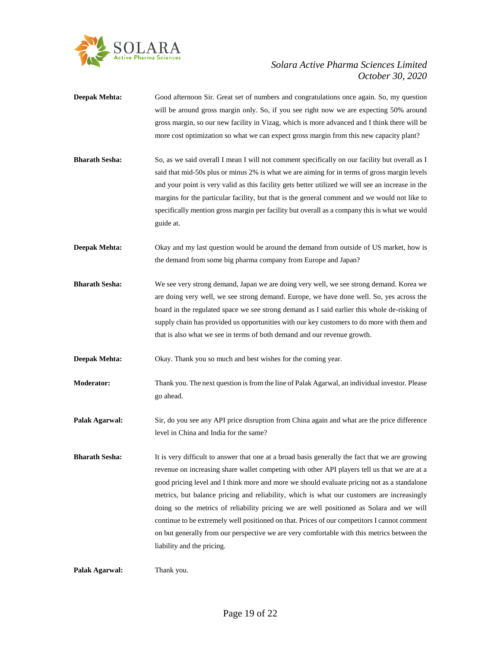

- **Deepak Mehta:** Good afternoon Sir. Great set of numbers and congratulations once again. So, my question will be around gross margin only. So, if you see right now we are expecting 50% around gross margin, so our new facility in Vizag, which is more advanced and I think there will be more cost optimization so what we can expect gross margin from this new capacity plant?
- **Bharath Sesha:** So, as we said overall I mean I will not comment specifically on our facility but overall as I said that mid-50s plus or minus 2% is what we are aiming for in terms of gross margin levels and your point is very valid as this facility gets better utilized we will see an increase in the margins for the particular facility, but that is the general comment and we would not like to specifically mention gross margin per facility but overall as a company this is what we would guide at.
- **Deepak Mehta:** Okay and my last question would be around the demand from outside of US market, how is the demand from some big pharma company from Europe and Japan?
- **Bharath Sesha:** We see very strong demand, Japan we are doing very well, we see strong demand. Korea we are doing very well, we see strong demand. Europe, we have done well. So, yes across the board in the regulated space we see strong demand as I said earlier this whole de-risking of supply chain has provided us opportunities with our key customers to do more with them and that is also what we see in terms of both demand and our revenue growth.
- **Deepak Mehta:** Okay. Thank you so much and best wishes for the coming year.
- **Moderator:** Thank you. The next question is from the line of Palak Agarwal, an individual investor. Please go ahead.
- **Palak Agarwal:** Sir, do you see any API price disruption from China again and what are the price difference level in China and India for the same?
- **Bharath Sesha:** It is very difficult to answer that one at a broad basis generally the fact that we are growing revenue on increasing share wallet competing with other API players tell us that we are at a good pricing level and I think more and more we should evaluate pricing not as a standalone metrics, but balance pricing and reliability, which is what our customers are increasingly doing so the metrics of reliability pricing we are well positioned as Solara and we will continue to be extremely well positioned on that. Prices of our competitors I cannot comment on but generally from our perspective we are very comfortable with this metrics between the liability and the pricing.

**Palak Agarwal:** Thank you.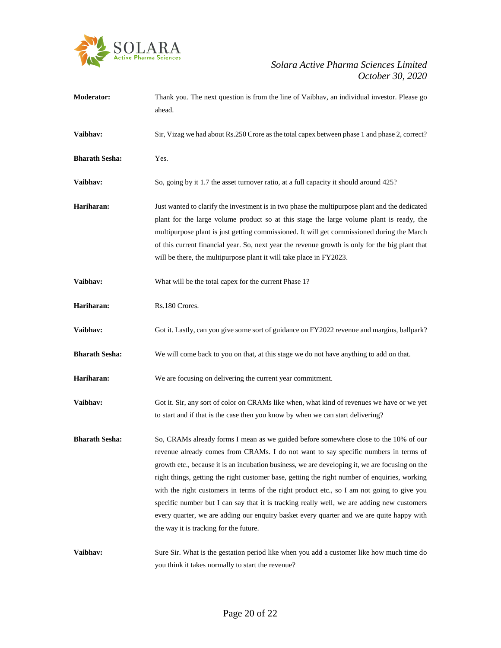

| <b>Moderator:</b>     | Thank you. The next question is from the line of Vaibhav, an individual investor. Please go<br>ahead.                                                                                                                                                                                                                                                                                                                                                                                                                                                                                                                                                                                                              |
|-----------------------|--------------------------------------------------------------------------------------------------------------------------------------------------------------------------------------------------------------------------------------------------------------------------------------------------------------------------------------------------------------------------------------------------------------------------------------------------------------------------------------------------------------------------------------------------------------------------------------------------------------------------------------------------------------------------------------------------------------------|
| Vaibhav:              | Sir, Vizag we had about Rs.250 Crore as the total capex between phase 1 and phase 2, correct?                                                                                                                                                                                                                                                                                                                                                                                                                                                                                                                                                                                                                      |
| <b>Bharath Sesha:</b> | Yes.                                                                                                                                                                                                                                                                                                                                                                                                                                                                                                                                                                                                                                                                                                               |
| Vaibhav:              | So, going by it 1.7 the asset turnover ratio, at a full capacity it should around 425?                                                                                                                                                                                                                                                                                                                                                                                                                                                                                                                                                                                                                             |
| Hariharan:            | Just wanted to clarify the investment is in two phase the multipurpose plant and the dedicated<br>plant for the large volume product so at this stage the large volume plant is ready, the<br>multipurpose plant is just getting commissioned. It will get commissioned during the March<br>of this current financial year. So, next year the revenue growth is only for the big plant that<br>will be there, the multipurpose plant it will take place in FY2023.                                                                                                                                                                                                                                                 |
| Vaibhav:              | What will be the total capex for the current Phase 1?                                                                                                                                                                                                                                                                                                                                                                                                                                                                                                                                                                                                                                                              |
| Hariharan:            | Rs.180 Crores.                                                                                                                                                                                                                                                                                                                                                                                                                                                                                                                                                                                                                                                                                                     |
| Vaibhav:              | Got it. Lastly, can you give some sort of guidance on FY2022 revenue and margins, ballpark?                                                                                                                                                                                                                                                                                                                                                                                                                                                                                                                                                                                                                        |
| <b>Bharath Sesha:</b> | We will come back to you on that, at this stage we do not have anything to add on that.                                                                                                                                                                                                                                                                                                                                                                                                                                                                                                                                                                                                                            |
| Hariharan:            | We are focusing on delivering the current year commitment.                                                                                                                                                                                                                                                                                                                                                                                                                                                                                                                                                                                                                                                         |
| Vaibhav:              | Got it. Sir, any sort of color on CRAMs like when, what kind of revenues we have or we yet<br>to start and if that is the case then you know by when we can start delivering?                                                                                                                                                                                                                                                                                                                                                                                                                                                                                                                                      |
| <b>Bharath Sesha:</b> | So, CRAMs already forms I mean as we guided before somewhere close to the 10% of our<br>revenue already comes from CRAMs. I do not want to say specific numbers in terms of<br>growth etc., because it is an incubation business, we are developing it, we are focusing on the<br>right things, getting the right customer base, getting the right number of enquiries, working<br>with the right customers in terms of the right product etc., so I am not going to give you<br>specific number but I can say that it is tracking really well, we are adding new customers<br>every quarter, we are adding our enquiry basket every quarter and we are quite happy with<br>the way it is tracking for the future. |
| Vaibhav:              | Sure Sir. What is the gestation period like when you add a customer like how much time do<br>you think it takes normally to start the revenue?                                                                                                                                                                                                                                                                                                                                                                                                                                                                                                                                                                     |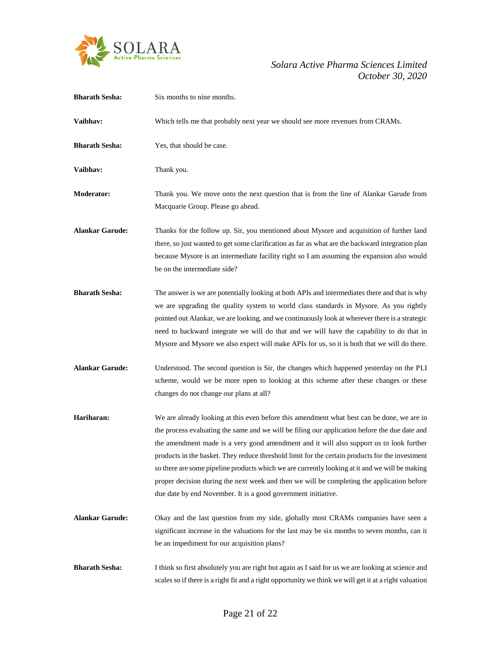

| <b>Bharath Sesha:</b>  | Six months to nine months.                                                                                                                                                                                                                                                                                                                                                                                                                                                                                                                                                                                                                                 |
|------------------------|------------------------------------------------------------------------------------------------------------------------------------------------------------------------------------------------------------------------------------------------------------------------------------------------------------------------------------------------------------------------------------------------------------------------------------------------------------------------------------------------------------------------------------------------------------------------------------------------------------------------------------------------------------|
| Vaibhav:               | Which tells me that probably next year we should see more revenues from CRAMs.                                                                                                                                                                                                                                                                                                                                                                                                                                                                                                                                                                             |
| <b>Bharath Sesha:</b>  | Yes, that should be case.                                                                                                                                                                                                                                                                                                                                                                                                                                                                                                                                                                                                                                  |
| Vaibhav:               | Thank you.                                                                                                                                                                                                                                                                                                                                                                                                                                                                                                                                                                                                                                                 |
| <b>Moderator:</b>      | Thank you. We move onto the next question that is from the line of Alankar Garude from<br>Macquarie Group. Please go ahead.                                                                                                                                                                                                                                                                                                                                                                                                                                                                                                                                |
| <b>Alankar Garude:</b> | Thanks for the follow up. Sir, you mentioned about Mysore and acquisition of further land<br>there, so just wanted to get some clarification as far as what are the backward integration plan<br>because Mysore is an intermediate facility right so I am assuming the expansion also would<br>be on the intermediate side?                                                                                                                                                                                                                                                                                                                                |
| <b>Bharath Sesha:</b>  | The answer is we are potentially looking at both APIs and intermediates there and that is why<br>we are upgrading the quality system to world class standards in Mysore. As you rightly<br>pointed out Alankar, we are looking, and we continuously look at wherever there is a strategic<br>need to backward integrate we will do that and we will have the capability to do that in<br>Mysore and Mysore we also expect will make APIs for us, so it is both that we will do there.                                                                                                                                                                      |
| <b>Alankar Garude:</b> | Understood. The second question is Sir, the changes which happened yesterday on the PLI<br>scheme, would we be more open to looking at this scheme after these changes or these<br>changes do not change our plans at all?                                                                                                                                                                                                                                                                                                                                                                                                                                 |
| Hariharan:             | We are already looking at this even before this amendment what best can be done, we are in<br>the process evaluating the same and we will be filing our application before the due date and<br>the amendment made is a very good amendment and it will also support us to look further<br>products in the basket. They reduce threshold limit for the certain products for the investment<br>so there are some pipeline products which we are currently looking at it and we will be making<br>proper decision during the next week and then we will be completing the application before<br>due date by end November. It is a good government initiative. |
| <b>Alankar Garude:</b> | Okay and the last question from my side, globally most CRAMs companies have seen a<br>significant increase in the valuations for the last may be six months to seven months, can it<br>be an impediment for our acquisition plans?                                                                                                                                                                                                                                                                                                                                                                                                                         |
| <b>Bharath Sesha:</b>  | I think so first absolutely you are right but again as I said for us we are looking at science and<br>scales so if there is a right fit and a right opportunity we think we will get it at a right valuation                                                                                                                                                                                                                                                                                                                                                                                                                                               |